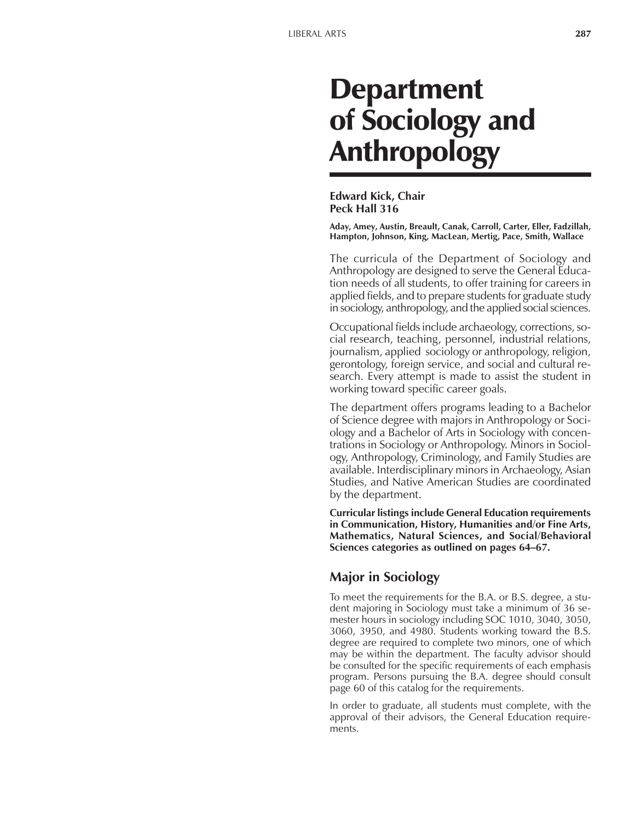# Department of Sociology and Anthropology

**Edward Kick, Chair Peck Hall 316**

**Aday, Amey, Austin, Breault, Canak, Carroll, Carter, Eller, Fadzillah, Hampton, Johnson, King, MacLean, Mertig, Pace, Smith, Wallace**

The curricula of the Department of Sociology and Anthropology are designed to serve the General Education needs of all students, to offer training for careers in applied fields, and to prepare students for graduate study in sociology, anthropology, and the applied social sciences.

Occupational fields include archaeology, corrections, social research, teaching, personnel, industrial relations, journalism, applied sociology or anthropology, religion, gerontology, foreign service, and social and cultural research. Every attempt is made to assist the student in working toward specific career goals.

The department offers programs leading to a Bachelor of Science degree with majors in Anthropology or Sociology and a Bachelor of Arts in Sociology with concentrations in Sociology or Anthropology. Minors in Sociology, Anthropology, Criminology, and Family Studies are available. Interdisciplinary minors in Archaeology, Asian Studies, and Native American Studies are coordinated by the department.

**Curricular listings include General Education requirements in Communication, History, Humanities and/or Fine Arts, Mathematics, Natural Sciences, and Social/Behavioral** Sciences categories as outlined on pages 64-67.

# **Major in Sociology**

To meet the requirements for the B.A. or B.S. degree, a student majoring in Sociology must take a minimum of 36 semester hours in sociology including SOC 1010, 3040, 3050, 3060, 3950, and 4980. Students working toward the B.S. degree are required to complete two minors, one of which may be within the department. The faculty advisor should be consulted for the specific requirements of each emphasis program. Persons pursuing the B.A. degree should consult page 60 of this catalog for the requirements.

In order to graduate, all students must complete, with the approval of their advisors, the General Education requirements.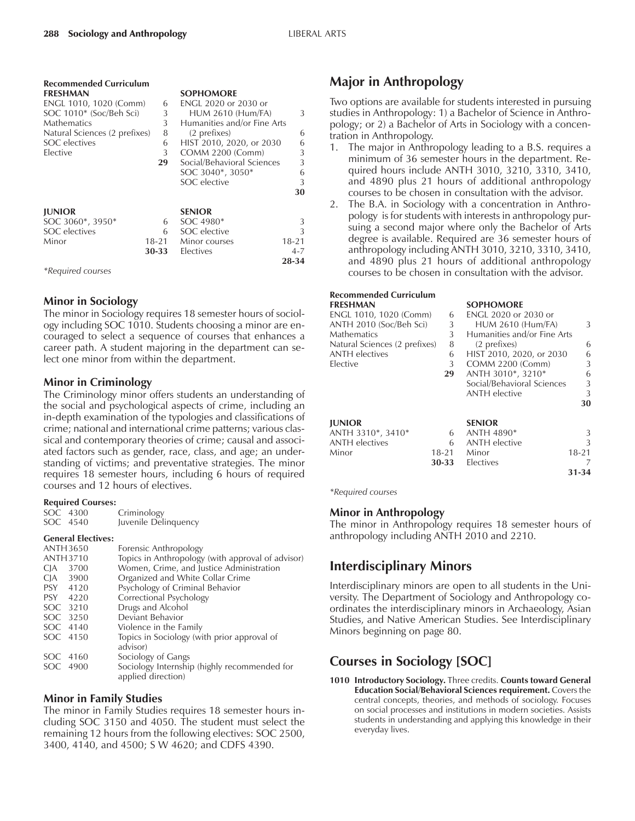| <b>Recommended Curriculum</b> |           |                             |           |
|-------------------------------|-----------|-----------------------------|-----------|
| <b>FRESHMAN</b>               |           | <b>SOPHOMORE</b>            |           |
| ENGL 1010, 1020 (Comm)        | 6         | <b>ENGL 2020 or 2030 or</b> |           |
| SOC 1010* (Soc/Beh Sci)       | 3         | <b>HUM 2610 (Hum/FA)</b>    | 3         |
| Mathematics                   | 3         | Humanities and/or Fine Arts |           |
| Natural Sciences (2 prefixes) | 8         | (2 prefixes)                | 6         |
| SOC electives                 | 6         | HIST 2010, 2020, or 2030    | 6         |
| Elective                      | 3         | <b>COMM 2200 (Comm)</b>     | 3         |
|                               | 29        | Social/Behavioral Sciences  | 3         |
|                               |           | SOC 3040*, 3050*            | 6         |
|                               |           | SOC elective                | 3         |
|                               |           |                             | 30        |
|                               |           |                             |           |
| <b>JUNIOR</b>                 |           | <b>SENIOR</b>               |           |
| SOC 3060*, 3950*              | 6         | SOC 4980*                   | 3         |
| SOC electives                 | 6         | SOC elective                | 3         |
| Minor                         | $18 - 21$ | Minor courses               | $18 - 21$ |
|                               | 30-33     | Electives                   | $4 - 7$   |
|                               |           |                             | 28-34     |
| *Required courses             |           |                             |           |

### **Minor in Sociology**

The minor in Sociology requires 18 semester hours of sociology including SOC 1010. Students choosing a minor are encouraged to select a sequence of courses that enhances a career path. A student majoring in the department can select one minor from within the department.

## **Minor in Criminology**

The Criminology minor offers students an understanding of the social and psychological aspects of crime, including an in-depth examination of the typologies and classifications of crime; national and international crime patterns; various classical and contemporary theories of crime; causal and associated factors such as gender, race, class, and age; an understanding of victims; and preventative strategies. The minor requires 18 semester hours, including 6 hours of required courses and 12 hours of electives.

#### **Required Courses:**

| SOC 4300 | Criminology          |
|----------|----------------------|
| SOC 4540 | Juvenile Delinquency |

#### **General Electives:**

| ANTH 3650          | Forensic Anthropology                                              |
|--------------------|--------------------------------------------------------------------|
| <b>ANTH3710</b>    | Topics in Anthropology (with approval of advisor)                  |
| <b>CJA</b><br>3700 | Women, Crime, and Justice Administration                           |
| CJA 3900           | Organized and White Collar Crime                                   |
| PSY 4120           | Psychology of Criminal Behavior                                    |
| PSY 4220           | Correctional Psychology                                            |
| SOC 3210           | Drugs and Alcohol                                                  |
| SOC 3250           | Deviant Behavior                                                   |
| SOC 4140           | Violence in the Family                                             |
| SOC 4150           | Topics in Sociology (with prior approval of<br>advisor)            |
| SOC 4160           | Sociology of Gangs                                                 |
| SOC 4900           | Sociology Internship (highly recommended for<br>applied direction) |
|                    |                                                                    |

#### **Minor in Family Studies**

The minor in Family Studies requires 18 semester hours including SOC 3150 and 4050. The student must select the remaining 12 hours from the following electives: SOC 2500, 3400, 4140, and 4500; S W 4620; and CDFS 4390.

## **Major in Anthropology**

Two options are available for students interested in pursuing studies in Anthropology: 1) a Bachelor of Science in Anthropology; or 2) a Bachelor of Arts in Sociology with a concentration in Anthropology.

- 1. The major in Anthropology leading to a B.S. requires a minimum of 36 semester hours in the department. Required hours include ANTH 3010, 3210, 3310, 3410, and 4890 plus 21 hours of additional anthropology courses to be chosen in consultation with the advisor.
- 2. The B.A. in Sociology with a concentration in Anthropology is for students with interests in anthropology pursuing a second major where only the Bachelor of Arts degree is available. Required are 36 semester hours of anthropology including ANTH 3010, 3210, 3310, 3410, and 4890 plus 21 hours of additional anthropology courses to be chosen in consultation with the advisor.

#### **Recommended Curriculum FRESHMAN SOPHOMORE**

| I NLJI IIVAN                  |           | JULIU/MUNL                  |           |
|-------------------------------|-----------|-----------------------------|-----------|
| ENGL 1010, 1020 (Comm)        | 6         | <b>ENGL 2020 or 2030 or</b> |           |
| ANTH 2010 (Soc/Beh Sci)       | 3         | <b>HUM 2610 (Hum/FA)</b>    | 3         |
| Mathematics                   | 3         | Humanities and/or Fine Arts |           |
| Natural Sciences (2 prefixes) | 8         | (2 prefixes)                | 6         |
| ANTH electives                | 6         | HIST 2010, 2020, or 2030    | 6         |
| Elective                      | 3         | COMM 2200 (Comm)            | 3         |
|                               | 29        | ANTH 3010*, 3210*           | 6         |
|                               |           | Social/Behavioral Sciences  | 3         |
|                               |           | <b>ANTH</b> elective        | 3         |
|                               |           |                             | 30        |
| <b>JUNIOR</b>                 |           | <b>SENIOR</b>               |           |
| ANTH 3310*, 3410*             | 6         | ANTH 4890*                  | 3         |
| <b>ANTH</b> electives         | 6         | <b>ANTH</b> elective        |           |
| Minor                         | $18 - 21$ | Minor                       | $18 - 21$ |
|                               | 30-33     | <b>Electives</b>            |           |
|                               |           |                             | 31-34     |

*\*Required courses*

## **Minor in Anthropology**

The minor in Anthropology requires 18 semester hours of anthropology including ANTH 2010 and 2210.

# **Interdisciplinary Minors**

Interdisciplinary minors are open to all students in the University. The Department of Sociology and Anthropology coordinates the interdisciplinary minors in Archaeology, Asian Studies, and Native American Studies. See Interdisciplinary Minors beginning on page 80.

# **Courses in Sociology [SOC]**

**1010 Introductory Sociology.** Three credits. **Counts toward General Education Social/Behavioral Sciences requirement.** Covers the central concepts, theories, and methods of sociology. Focuses on social processes and institutions in modern societies. Assists students in understanding and applying this knowledge in their everyday lives.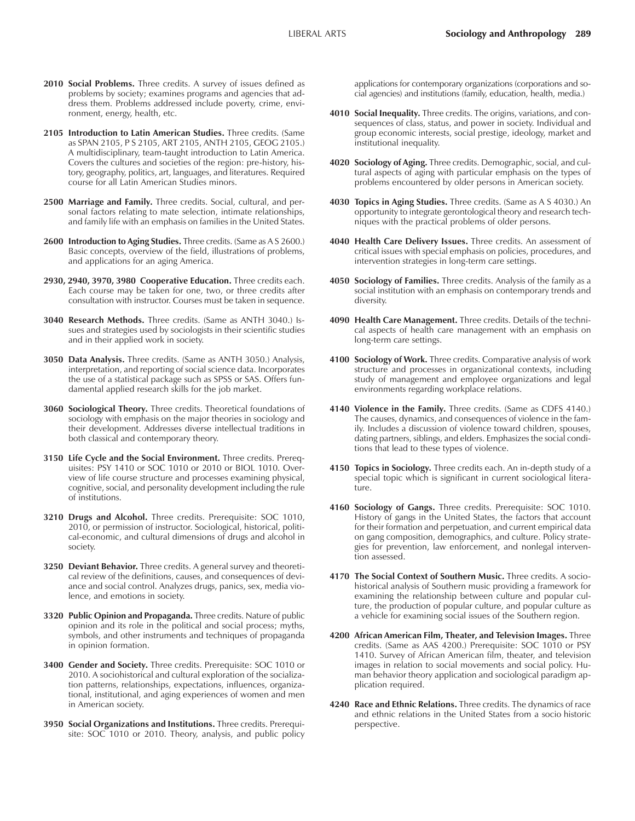- **2010 Social Problems.** Three credits. A survey of issues defined as problems by society; examines programs and agencies that address them. Problems addressed include poverty, crime, environment, energy, health, etc.
- **2105 Introduction to Latin American Studies.** Three credits. (Same as SPAN 2105, P S 2105, ART 2105, ANTH 2105, GEOG 2105.) A multidisciplinary, team-taught introduction to Latin America. Covers the cultures and societies of the region: pre-history, history, geography, politics, art, languages, and literatures. Required course for all Latin American Studies minors.
- **2500 Marriage and Family.** Three credits. Social, cultural, and personal factors relating to mate selection, intimate relationships, and family life with an emphasis on families in the United States.
- **2600 Introduction to Aging Studies.** Three credits. (Same as A S 2600.) Basic concepts, overview of the field, illustrations of problems, and applications for an aging America.
- **2930, 2940, 3970, 3980 Cooperative Education.** Three credits each. Each course may be taken for one, two, or three credits after consultation with instructor. Courses must be taken in sequence.
- **3040 Research Methods.** Three credits. (Same as ANTH 3040.) Issues and strategies used by sociologists in their scientific studies and in their applied work in society.
- **3050 Data Analysis.** Three credits. (Same as ANTH 3050.) Analysis, interpretation, and reporting of social science data. Incorporates the use of a statistical package such as SPSS or SAS. Offers fundamental applied research skills for the job market.
- **3060 Sociological Theory.** Three credits. Theoretical foundations of sociology with emphasis on the major theories in sociology and their development. Addresses diverse intellectual traditions in both classical and contemporary theory.
- **3150 Life Cycle and the Social Environment.** Three credits. Prerequisites: PSY 1410 or SOC 1010 or 2010 or BIOL 1010. Overview of life course structure and processes examining physical, cognitive, social, and personality development including the rule of institutions.
- **3210 Drugs and Alcohol.** Three credits. Prerequisite: SOC 1010, 2010, or permission of instructor. Sociological, historical, political-economic, and cultural dimensions of drugs and alcohol in society.
- **3250 Deviant Behavior.** Three credits. A general survey and theoretical review of the definitions, causes, and consequences of deviance and social control. Analyzes drugs, panics, sex, media violence, and emotions in society.
- **3320 Public Opinion and Propaganda.** Three credits. Nature of public opinion and its role in the political and social process; myths, symbols, and other instruments and techniques of propaganda in opinion formation.
- **3400 Gender and Society.** Three credits. Prerequisite: SOC 1010 or 2010. A sociohistorical and cultural exploration of the socialization patterns, relationships, expectations, influences, organizational, institutional, and aging experiences of women and men in American society.
- **3950 Social Organizations and Institutions.** Three credits. Prerequisite: SOC 1010 or 2010. Theory, analysis, and public policy

applications for contemporary organizations (corporations and social agencies) and institutions (family, education, health, media.)

- **4010 Social Inequality.** Three credits. The origins, variations, and consequences of class, status, and power in society. Individual and group economic interests, social prestige, ideology, market and institutional inequality.
- **4020 Sociology of Aging.** Three credits. Demographic, social, and cultural aspects of aging with particular emphasis on the types of problems encountered by older persons in American society.
- **4030 Topics in Aging Studies.** Three credits. (Same as A S 4030.) An opportunity to integrate gerontological theory and research techniques with the practical problems of older persons.
- **4040 Health Care Delivery Issues.** Three credits. An assessment of critical issues with special emphasis on policies, procedures, and intervention strategies in long-term care settings.
- **4050 Sociology of Families.** Three credits. Analysis of the family as a social institution with an emphasis on contemporary trends and diversity.
- **4090 Health Care Management.** Three credits. Details of the technical aspects of health care management with an emphasis on long-term care settings.
- **4100 Sociology of Work.** Three credits. Comparative analysis of work structure and processes in organizational contexts, including study of management and employee organizations and legal environments regarding workplace relations.
- **4140 Violence in the Family.** Three credits. (Same as CDFS 4140.) The causes, dynamics, and consequences of violence in the family. Includes a discussion of violence toward children, spouses, dating partners, siblings, and elders. Emphasizes the social conditions that lead to these types of violence.
- **4150 Topics in Sociology.** Three credits each. An in-depth study of a special topic which is significant in current sociological literature.
- **4160 Sociology of Gangs.** Three credits. Prerequisite: SOC 1010. History of gangs in the United States, the factors that account for their formation and perpetuation, and current empirical data on gang composition, demographics, and culture. Policy strategies for prevention, law enforcement, and nonlegal intervention assessed.
- **4170 The Social Context of Southern Music.** Three credits. A sociohistorical analysis of Southern music providing a framework for examining the relationship between culture and popular culture, the production of popular culture, and popular culture as a vehicle for examining social issues of the Southern region.
- **4200 African American Film, Theater, and Television Images.** Three credits. (Same as AAS 4200.) Prerequisite: SOC 1010 or PSY 1410. Survey of African American film, theater, and television images in relation to social movements and social policy. Human behavior theory application and sociological paradigm application required.
- **4240 Race and Ethnic Relations.** Three credits. The dynamics of race and ethnic relations in the United States from a socio historic perspective.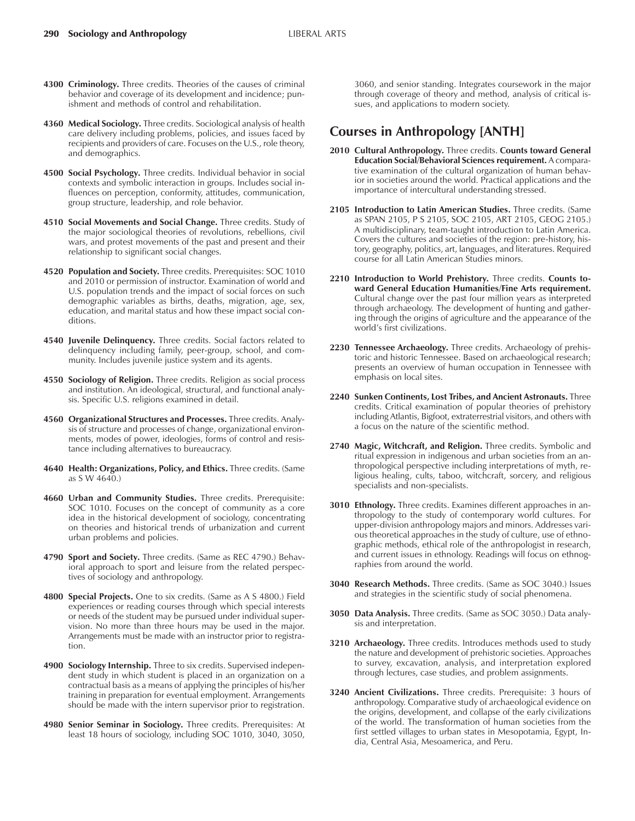- **4300 Criminology.** Three credits. Theories of the causes of criminal behavior and coverage of its development and incidence; punishment and methods of control and rehabilitation.
- **4360 Medical Sociology.** Three credits. Sociological analysis of health care delivery including problems, policies, and issues faced by recipients and providers of care. Focuses on the U.S., role theory, and demographics.
- **4500 Social Psychology.** Three credits. Individual behavior in social contexts and symbolic interaction in groups. Includes social influences on perception, conformity, attitudes, communication, group structure, leadership, and role behavior.
- **4510 Social Movements and Social Change.** Three credits. Study of the major sociological theories of revolutions, rebellions, civil wars, and protest movements of the past and present and their relationship to significant social changes.
- **4520 Population and Society.** Three credits. Prerequisites: SOC 1010 and 2010 or permission of instructor. Examination of world and U.S. population trends and the impact of social forces on such demographic variables as births, deaths, migration, age, sex, education, and marital status and how these impact social conditions.
- **4540 Juvenile Delinquency.** Three credits. Social factors related to delinquency including family, peer-group, school, and community. Includes juvenile justice system and its agents.
- **4550 Sociology of Religion.** Three credits. Religion as social process and institution. An ideological, structural, and functional analysis. Specific U.S. religions examined in detail.
- **4560 Organizational Structures and Processes.** Three credits. Analysis of structure and processes of change, organizational environments, modes of power, ideologies, forms of control and resistance including alternatives to bureaucracy.
- **4640 Health: Organizations, Policy, and Ethics.** Three credits. (Same as S W 4640.)
- **4660 Urban and Community Studies.** Three credits. Prerequisite: SOC 1010. Focuses on the concept of community as a core idea in the historical development of sociology, concentrating on theories and historical trends of urbanization and current urban problems and policies.
- **4790 Sport and Society.** Three credits. (Same as REC 4790.) Behavioral approach to sport and leisure from the related perspectives of sociology and anthropology.
- **4800 Special Projects.** One to six credits. (Same as A S 4800.) Field experiences or reading courses through which special interests or needs of the student may be pursued under individual supervision. No more than three hours may be used in the major. Arrangements must be made with an instructor prior to registration.
- **4900 Sociology Internship.** Three to six credits. Supervised independent study in which student is placed in an organization on a contractual basis as a means of applying the principles of his/her training in preparation for eventual employment. Arrangements should be made with the intern supervisor prior to registration.
- **4980 Senior Seminar in Sociology.** Three credits. Prerequisites: At least 18 hours of sociology, including SOC 1010, 3040, 3050,

3060, and senior standing. Integrates coursework in the major through coverage of theory and method, analysis of critical issues, and applications to modern society.

## **Courses in Anthropology [ANTH]**

- **2010 Cultural Anthropology.** Three credits. **Counts toward General Education Social/Behavioral Sciences requirement.** A comparative examination of the cultural organization of human behavior in societies around the world. Practical applications and the importance of intercultural understanding stressed.
- **2105 Introduction to Latin American Studies.** Three credits. (Same as SPAN 2105, P S 2105, SOC 2105, ART 2105, GEOG 2105.) A multidisciplinary, team-taught introduction to Latin America. Covers the cultures and societies of the region: pre-history, history, geography, politics, art, languages, and literatures. Required course for all Latin American Studies minors.
- **2210 Introduction to World Prehistory.** Three credits. **Counts toward General Education Humanities/Fine Arts requirement.** Cultural change over the past four million years as interpreted through archaeology. The development of hunting and gathering through the origins of agriculture and the appearance of the world's first civilizations.
- **2230 Tennessee Archaeology.** Three credits. Archaeology of prehistoric and historic Tennessee. Based on archaeological research; presents an overview of human occupation in Tennessee with emphasis on local sites.
- **2240 Sunken Continents, Lost Tribes, and Ancient Astronauts.** Three credits. Critical examination of popular theories of prehistory including Atlantis, Bigfoot, extraterrestrial visitors, and others with a focus on the nature of the scientific method.
- **2740 Magic, Witchcraft, and Religion.** Three credits. Symbolic and ritual expression in indigenous and urban societies from an anthropological perspective including interpretations of myth, religious healing, cults, taboo, witchcraft, sorcery, and religious specialists and non-specialists.
- **3010 Ethnology.** Three credits. Examines different approaches in anthropology to the study of contemporary world cultures. For upper-division anthropology majors and minors. Addresses various theoretical approaches in the study of culture, use of ethnographic methods, ethical role of the anthropologist in research, and current issues in ethnology. Readings will focus on ethnographies from around the world.
- **3040 Research Methods.** Three credits. (Same as SOC 3040.) Issues and strategies in the scientific study of social phenomena.
- **3050 Data Analysis.** Three credits. (Same as SOC 3050.) Data analysis and interpretation.
- **3210 Archaeology.** Three credits. Introduces methods used to study the nature and development of prehistoric societies. Approaches to survey, excavation, analysis, and interpretation explored through lectures, case studies, and problem assignments.
- **3240 Ancient Civilizations.** Three credits. Prerequisite: 3 hours of anthropology. Comparative study of archaeological evidence on the origins, development, and collapse of the early civilizations of the world. The transformation of human societies from the first settled villages to urban states in Mesopotamia, Egypt, India, Central Asia, Mesoamerica, and Peru.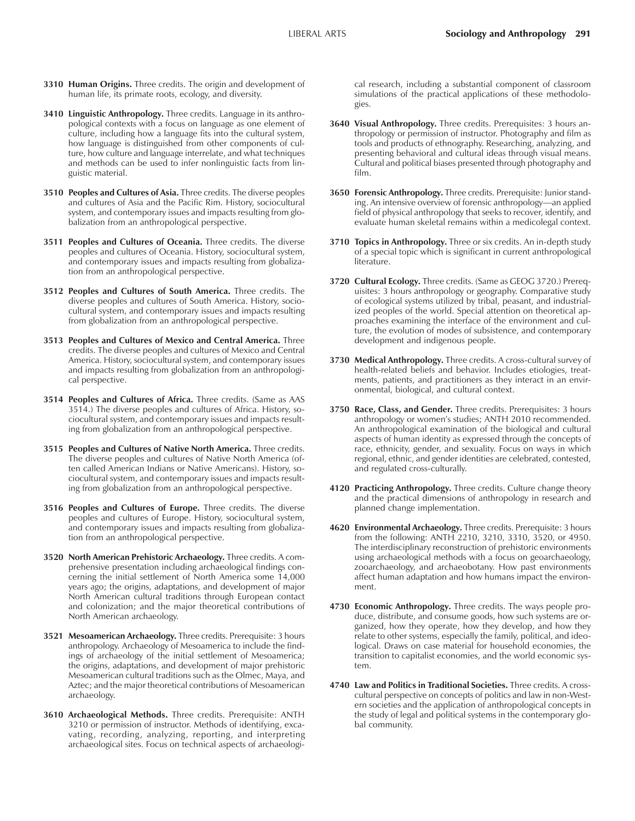- **3310 Human Origins.** Three credits. The origin and development of human life, its primate roots, ecology, and diversity.
- **3410 Linguistic Anthropology.** Three credits. Language in its anthropological contexts with a focus on language as one element of culture, including how a language fits into the cultural system, how language is distinguished from other components of culture, how culture and language interrelate, and what techniques and methods can be used to infer nonlinguistic facts from linguistic material.
- **3510 Peoples and Cultures of Asia.** Three credits. The diverse peoples and cultures of Asia and the Pacific Rim. History, sociocultural system, and contemporary issues and impacts resulting from globalization from an anthropological perspective.
- **3511 Peoples and Cultures of Oceania.** Three credits. The diverse peoples and cultures of Oceania. History, sociocultural system, and contemporary issues and impacts resulting from globalization from an anthropological perspective.
- **3512 Peoples and Cultures of South America.** Three credits. The diverse peoples and cultures of South America. History, sociocultural system, and contemporary issues and impacts resulting from globalization from an anthropological perspective.
- **3513 Peoples and Cultures of Mexico and Central America.** Three credits. The diverse peoples and cultures of Mexico and Central America. History, sociocultural system, and contemporary issues and impacts resulting from globalization from an anthropological perspective.
- **3514 Peoples and Cultures of Africa.** Three credits. (Same as AAS 3514.) The diverse peoples and cultures of Africa. History, sociocultural system, and contemporary issues and impacts resulting from globalization from an anthropological perspective.
- **3515 Peoples and Cultures of Native North America.** Three credits. The diverse peoples and cultures of Native North America (often called American Indians or Native Americans). History, sociocultural system, and contemporary issues and impacts resulting from globalization from an anthropological perspective.
- **3516 Peoples and Cultures of Europe.** Three credits. The diverse peoples and cultures of Europe. History, sociocultural system, and contemporary issues and impacts resulting from globalization from an anthropological perspective.
- **3520 North American Prehistoric Archaeology.** Three credits. A comprehensive presentation including archaeological findings concerning the initial settlement of North America some 14,000 years ago; the origins, adaptations, and development of major North American cultural traditions through European contact and colonization; and the major theoretical contributions of North American archaeology.
- **3521 Mesoamerican Archaeology.** Three credits. Prerequisite: 3 hours anthropology. Archaeology of Mesoamerica to include the findings of archaeology of the initial settlement of Mesoamerica; the origins, adaptations, and development of major prehistoric Mesoamerican cultural traditions such as the Olmec, Maya, and Aztec; and the major theoretical contributions of Mesoamerican archaeology.
- **3610 Archaeological Methods.** Three credits. Prerequisite: ANTH 3210 or permission of instructor. Methods of identifying, excavating, recording, analyzing, reporting, and interpreting archaeological sites. Focus on technical aspects of archaeologi-

cal research, including a substantial component of classroom simulations of the practical applications of these methodologies.

- **3640 Visual Anthropology.** Three credits. Prerequisites: 3 hours anthropology or permission of instructor. Photography and film as tools and products of ethnography. Researching, analyzing, and presenting behavioral and cultural ideas through visual means. Cultural and political biases presented through photography and film.
- **3650 Forensic Anthropology.** Three credits. Prerequisite: Junior standing. An intensive overview of forensic anthropology—an applied field of physical anthropology that seeks to recover, identify, and evaluate human skeletal remains within a medicolegal context.
- **3710 Topics in Anthropology.** Three or six credits. An in-depth study of a special topic which is significant in current anthropological literature.
- **3720 Cultural Ecology.** Three credits. (Same as GEOG 3720.) Prerequisites: 3 hours anthropology or geography. Comparative study of ecological systems utilized by tribal, peasant, and industrialized peoples of the world. Special attention on theoretical approaches examining the interface of the environment and culture, the evolution of modes of subsistence, and contemporary development and indigenous people.
- **3730 Medical Anthropology.** Three credits. A cross-cultural survey of health-related beliefs and behavior. Includes etiologies, treatments, patients, and practitioners as they interact in an environmental, biological, and cultural context.
- **3750 Race, Class, and Gender.** Three credits. Prerequisites: 3 hours anthropology or women's studies; ANTH 2010 recommended. An anthropological examination of the biological and cultural aspects of human identity as expressed through the concepts of race, ethnicity, gender, and sexuality. Focus on ways in which regional, ethnic, and gender identities are celebrated, contested, and regulated cross-culturally.
- **4120 Practicing Anthropology.** Three credits. Culture change theory and the practical dimensions of anthropology in research and planned change implementation.
- **4620 Environmental Archaeology.** Three credits. Prerequisite: 3 hours from the following: ANTH 2210, 3210, 3310, 3520, or 4950. The interdisciplinary reconstruction of prehistoric environments using archaeological methods with a focus on geoarchaeology, zooarchaeology, and archaeobotany. How past environments affect human adaptation and how humans impact the environment.
- **4730 Economic Anthropology.** Three credits. The ways people produce, distribute, and consume goods, how such systems are organized, how they operate, how they develop, and how they relate to other systems, especially the family, political, and ideological. Draws on case material for household economies, the transition to capitalist economies, and the world economic system.
- **4740 Law and Politics in Traditional Societies.** Three credits. A crosscultural perspective on concepts of politics and law in non-Western societies and the application of anthropological concepts in the study of legal and political systems in the contemporary global community.